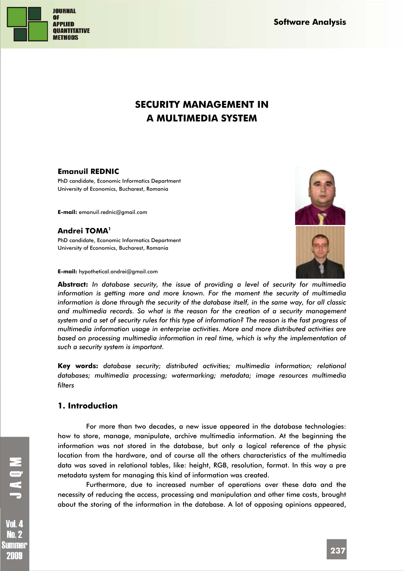**JOURNAL OF APPLIED QUANTITATIVE METHODS** 

**Software Analysis** 

# **SECURITY MANAGEMENT IN A MULTIMEDIA SYSTEM**

#### **Emanuil REDNIC**

PhD candidate, Economic Informatics Department University of Economics, Bucharest, Romania

**E-mail:** emanuil.rednic@gmail.com

# **Andrei TOMA1**

PhD candidate, Economic Informatics Department University of Economics, Bucharest, Romania

**E-mail:** hypothetical.andrei@gmail.com

**Abstract:** *In database security, the issue of providing a level of security for multimedia information is getting more and more known. For the moment the security of multimedia information is done through the security of the database itself, in the same way, for all classic and multimedia records. So what is the reason for the creation of a security management system and a set of security rules for this type of information? The reason is the fast progress of multimedia information usage in enterprise activities. More and more distributed activities are based on processing multimedia information in real time, which is why the implementation of such a security system is important.* 

**Key words:** *database security; distributed activities; multimedia information; relational databases; multimedia processing; watermarking; metadata; image resources multimedia filters* 

#### **1. Introduction**

For more than two decades, a new issue appeared in the database technologies: how to store, manage, manipulate, archive multimedia information. At the beginning the information was not stored in the database, but only a logical reference of the physic location from the hardware, and of course all the others characteristics of the multimedia data was saved in relational tables, like: height, RGB, resolution, format. In this way a pre metadata system for managing this kind of information was created.

Furthermore, due to increased number of operations over these data and the necessity of reducing the access, processing and manipulation and other time costs, brought about the storing of the information in the database. A lot of opposing opinions appeared,

Vol. 4 **No. 2** Summer 2009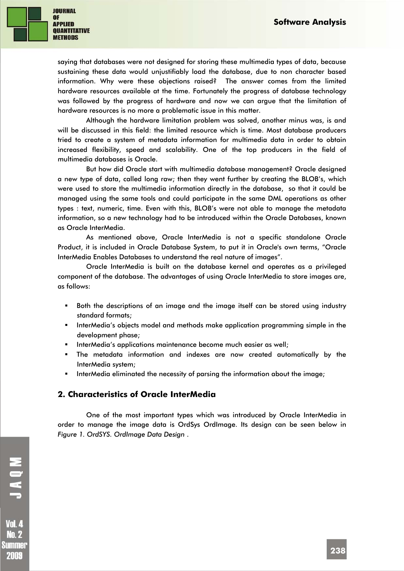

saying that databases were not designed for storing these multimedia types of data, because sustaining these data would unjustifiably load the database, due to non character based information. Why were these objections raised? The answer comes from the limited hardware resources available at the time. Fortunately the progress of database technology was followed by the progress of hardware and now we can argue that the limitation of hardware resources is no more a problematic issue in this matter.

Although the hardware limitation problem was solved, another minus was, is and will be discussed in this field: the limited resource which is time. Most database producers tried to create a system of metadata information for multimedia data in order to obtain increased flexibility, speed and scalability. One of the top producers in the field of multimedia databases is Oracle.

But how did Oracle start with multimedia database management? Oracle designed a new type of data, called long raw; then they went further by creating the BLOB's, which were used to store the multimedia information directly in the database, so that it could be managed using the same tools and could participate in the same DML operations as other types : text, numeric, time. Even with this, BLOB's were not able to manage the metadata information, so a new technology had to be introduced within the Oracle Databases, known as Oracle InterMedia.

As mentioned above, Oracle InterMedia is not a specific standalone Oracle Product, it is included in Oracle Database System, to put it in Oracle's own terms, "Oracle InterMedia Enables Databases to understand the real nature of images".

Oracle InterMedia is built on the database kernel and operates as a privileged component of the database. The advantages of using Oracle InterMedia to store images are, as follows:

- Both the descriptions of an image and the image itself can be stored using industry standard formats;
- InterMedia's objects model and methods make application programming simple in the development phase;
- InterMedia's applications maintenance become much easier as well;
- The metadata information and indexes are now created automatically by the InterMedia system;
- InterMedia eliminated the necessity of parsing the information about the image;

#### **2. Characteristics of Oracle InterMedia**

One of the most important types which was introduced by Oracle InterMedia in order to manage the image data is OrdSys OrdImage. Its design can be seen below in *Figure 1. OrdSYS. OrdImage Data Design* .

**Vol. 4 No. 2** Summer 2009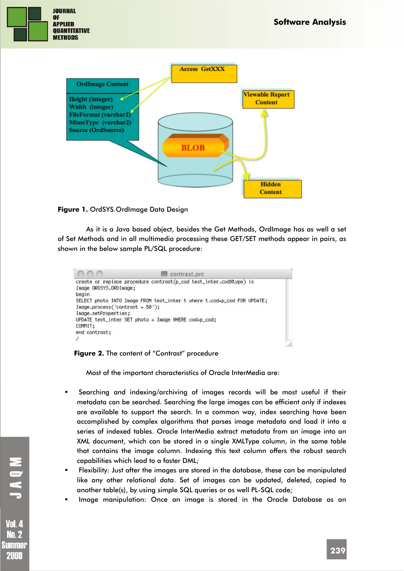



#### **Figure 1.** OrdSYS.OrdImage Data Design

As it is a Java based object, besides the Get Methods, OrdImage has as well a set of Set Methods and in all multimedia processing these GET/SET methods appear in pairs, as shown in the below sample PL/SQL procedure:

|                                   | contrast.prc                                                            |
|-----------------------------------|-------------------------------------------------------------------------|
| Image ORDSYS.ORDImage;            | create or replace procedure contrast(p_cod test_inter.cod%type) is      |
| begin                             |                                                                         |
| $Image.process('contrast = 50');$ | SELECT photo INTO Image FROM test_inter t where t.cod=p_cod FOR UPDATE; |
| Image.setProperties;              |                                                                         |
| COMMIT:                           | UPDATE test_inter SET photo = Image WHERE cod=p_cod:                    |
| end contrast;                     |                                                                         |
|                                   |                                                                         |

#### **Figure 2.** The content of "Contrast" procedure

Most of the important characteristics of Oracle InterMedia are:

- Searching and indexing/archiving of images records will be most useful if their metadata can be searched. Searching the large images can be efficient only if indexes are available to support the search. In a common way, index searching have been accomplished by complex algorithms that parses image metadata and load it into a series of indexed tables. Oracle InterMedia extract metadata from an image into an XML document, which can be stored in a single XMLType column, in the same table that contains the image column. Indexing this text column offers the robust search capabilities which lead to a faster DML;
- Flexibility: Just after the images are stored in the database, these can be manipulated like any other relational data. Set of images can be updated, deleted, copied to another table(s), by using simple SQL queries or as well PL-SQL code;
- Image manipulation: Once an image is stored in the Oracle Database as an

MOKT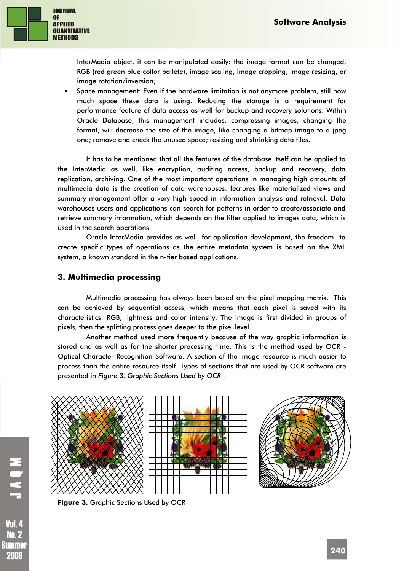

InterMedia object, it can be manipulated easily: the image format can be changed, RGB (red green blue collor pallete), image scaling, image cropping, image resizing, or image rotation/inversion;

 Space management: Even if the hardware limitation is not anymore problem, still how much space these data is using. Reducing the storage is a requirement for performance feature of data access as well for backup and recovery solutions. Within Oracle Database, this management includes: compressing images; changing the format, will decrease the size of the image, like changing a bitmap image to a jpeg one; remove and check the unused space; resizing and shrinking data files.

It has to be mentioned that all the features of the database itself can be applied to the InterMedia as well, like encryption, auditing access, backup and recovery, data replication, archiving. One of the most important operations in managing high amounts of multimedia data is the creation of data warehouses: features like materialized views and summary management offer a very high speed in information analysis and retrieval. Data warehouses users and applications can search for patterns in order to create/associate and retrieve summary information, which depends on the filter applied to images data, which is used in the search operations.

Oracle InterMedia provides as well, for application development, the freedom to create specific types of operations as the entire metadata system is based on the XML system, a known standard in the n-tier based applications.

#### **3. Multimedia processing**

Multimedia processing has always been based on the pixel mapping matrix. This can be achieved by sequential access, which means that each pixel is saved with its characteristics: RGB, lightness and color intensity. The image is first divided in groups of pixels, then the splitting process goes deeper to the pixel level.

Another method used more frequently because of the way graphic information is stored and as well as for the shorter processing time. This is the method used by OCR - Optical Character Recognition Software. A section of the image resource is much easier to process than the entire resource itself. Types of sections that are used by OCR software are presented in *Figure 3. Graphic Sections Used by OCR* .



**Figure 3.** Graphic Sections Used by OCR

**Vol. 4 No. 2** Summer 2009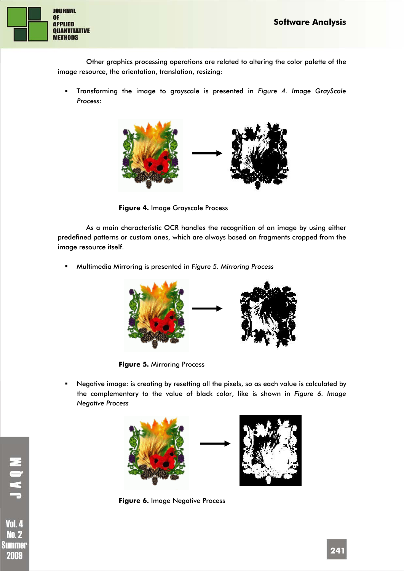

Other graphics processing operations are related to altering the color palette of the image resource, the orientation, translation, resizing:

 Transforming the image to grayscale is presented in *Figure 4. Image GrayScale Process*:



**Figure 4.** Image Grayscale Process

As a main characteristic OCR handles the recognition of an image by using either predefined patterns or custom ones, which are always based on fragments cropped from the image resource itself.

Multimedia Mirroring is presented in *Figure 5. Mirroring Process* 



**Figure 5.** Mirroring Process

 Negative image: is creating by resetting all the pixels, so as each value is calculated by the complementary to the value of black color, like is shown in *Figure 6. Image Negative Process* 



**Figure 6.** Image Negative Process

**Vol. 4 No. 2** Summer 2009

**NOVI**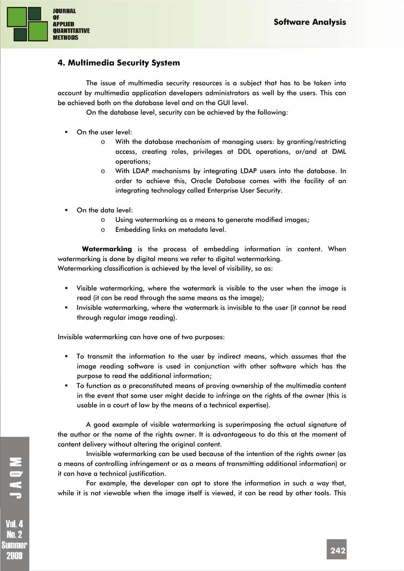

### **4. Multimedia Security System**

The issue of multimedia security resources is a subject that has to be taken into account by multimedia application developers administrators as well by the users. This can be achieved both on the database level and on the GUI level.

On the database level, security can be achieved by the following:

- On the user level:
	- o With the database mechanism of managing users: by granting/restricting access, creating roles, privileges at DDL operations, or/and at DML operations;
	- o With LDAP mechanisms by integrating LDAP users into the database. In order to achieve this, Oracle Database comes with the facility of an integrating technology called Enterprise User Security.
- On the data level:
	- o Using watermarking as a means to generate modified images;
	- o Embedding links on metadata level.

**Watermarking** is the process of embedding information in content. When watermarking is done by digital means we refer to digital watermarking. Watermarking classification is achieved by the level of visibility, so as:

- Visible watermarking, where the watermark is visible to the user when the image is read (it can be read through the same means as the image);
- Invisible watermarking, where the watermark is invisible to the user (it cannot be read through regular image reading).

Invisible watermarking can have one of two purposes:

- To transmit the information to the user by indirect means, which assumes that the image reading software is used in conjunction with other software which has the purpose to read the additional information;
- To function as a preconstituted means of proving ownership of the multimedia content in the event that some user might decide to infringe on the rights of the owner (this is usable in a court of law by the means of a technical expertise).

A good example of visible watermarking is superimposing the actual signature of the author or the name of the rights owner. It is advantageous to do this at the moment of content delivery without altering the original content.

Invisible watermarking can be used because of the intention of the rights owner (as a means of controlling infringement or as a means of transmitting additional information) or it can have a technical justification.

For example, the developer can opt to store the information in such a way that, while it is not viewable when the image itself is viewed, it can be read by other tools. This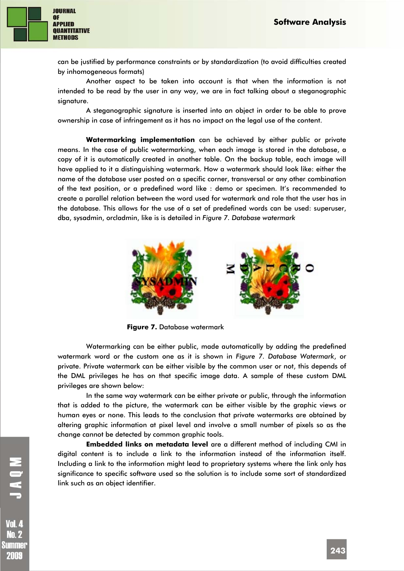

can be justified by performance constraints or by standardization (to avoid difficulties created by inhomogeneous formats)

Another aspect to be taken into account is that when the information is not intended to be read by the user in any way, we are in fact talking about a steganographic signature.

A steganographic signature is inserted into an object in order to be able to prove ownership in case of infringement as it has no impact on the legal use of the content.

**Watermarking implementation** can be achieved by either public or private means. In the case of public watermarking, when each image is stored in the database, a copy of it is automatically created in another table. On the backup table, each image will have applied to it a distinguishing watermark. How a watermark should look like: either the name of the database user posted on a specific corner, transversal or any other combination of the text position, or a predefined word like : demo or specimen. It's recommended to create a parallel relation between the word used for watermark and role that the user has in the database. This allows for the use of a set of predefined words can be used: superuser, dba, sysadmin, orcladmin, like is is detailed in *Figure 7. Database watermark* 



**Figure 7.** Database watermark

Watermarking can be either public, made automatically by adding the predefined watermark word or the custom one as it is shown in *Figure 7. Database Watermark*, or private. Private watermark can be either visible by the common user or not, this depends of the DML privileges he has on that specific image data. A sample of these custom DML privileges are shown below:

In the same way watermark can be either private or public, through the information that is added to the picture, the watermark can be either visible by the graphic views or human eyes or none. This leads to the conclusion that private watermarks are obtained by altering graphic information at pixel level and involve a small number of pixels so as the change cannot be detected by common graphic tools.

**Embedded links on metadata level** are a different method of including CMI in digital content is to include a link to the information instead of the information itself. Including a link to the information might lead to proprietary systems where the link only has significance to specific software used so the solution is to include some sort of standardized link such as an object identifier.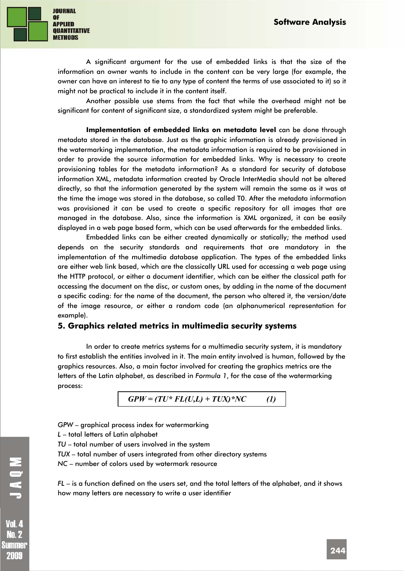

A significant argument for the use of embedded links is that the size of the information an owner wants to include in the content can be very large (for example, the owner can have an interest to tie to any type of content the terms of use associated to it) so it might not be practical to include it in the content itself.

Another possible use stems from the fact that while the overhead might not be significant for content of significant size, a standardized system might be preferable.

**Implementation of embedded links on metadata level** can be done through metadata stored in the database. Just as the graphic information is already provisioned in the watermarking implementation, the metadata information is required to be provisioned in order to provide the source information for embedded links. Why is necessary to create provisioning tables for the metadata information? As a standard for security of database information XML, metadata information created by Oracle InterMedia should not be altered directly, so that the information generated by the system will remain the same as it was at the time the image was stored in the database, so called T0. After the metadata information was provisioned it can be used to create a specific repository for all images that are managed in the database. Also, since the information is XML organized, it can be easily displayed in a web page based form, which can be used afterwards for the embedded links.

Embedded links can be either created dynamically or statically; the method used depends on the security standards and requirements that are mandatory in the implementation of the multimedia database application. The types of the embedded links are either web link based, which are the classically URL used for accessing a web page using the HTTP protocol, or either a document identifier, which can be either the classical path for accessing the document on the disc, or custom ones, by adding in the name of the document a specific coding: for the name of the document, the person who altered it, the version/date of the image resource, or either a random code (an alphanumerical representation for example).

#### **5. Graphics related metrics in multimedia security systems**

In order to create metrics systems for a multimedia security system, it is mandatory to first establish the entities involved in it. The main entity involved is human, followed by the graphics resources. Also, a main factor involved for creating the graphics metrics are the letters of the Latin alphabet, as described in *Formula 1*, for the case of the watermarking process:

$$
GPW = (TU^* FL(U,L) + TUX)^*NC \qquad (1)
$$

*GPW* – graphical process index for watermarking

- *L* total letters of Latin alphabet
- *TU* total number of users involved in the system
- *TUX* total number of users integrated from other directory systems
- *NC* number of colors used by watermark resource

*FL* – is a function defined on the users set, and the total letters of the alphabet, and it shows how many letters are necessary to write a user identifier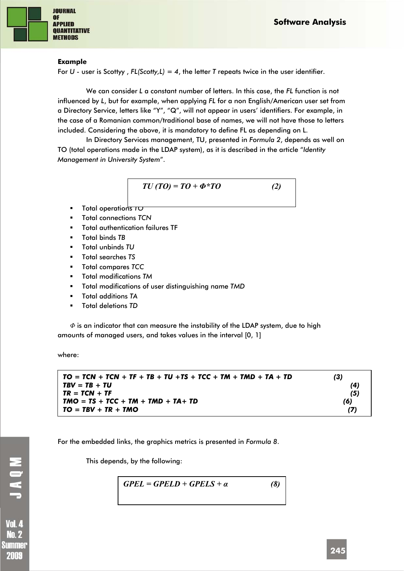

#### **Example**

For *U* - user is Scottyy , *FL(Scotty,L) = 4*, the letter *T* repeats twice in the user identifier.

We can consider *L* a constant number of letters. In this case, the *FL* function is not influenced by *L*, but for example, when applying *FL* for a non English/American user set from a Directory Service, letters like "Y", "Q", will not appear in users' identifiers. For example, in the case of a Romanian common/traditional base of names, we will not have those to letters included. Considering the above, it is mandatory to define FL as depending on L.

In Directory Services management, TU, presented in *Formula 2*, depends as well on TO (total operations made in the LDAP system), as it is described in the article "*Identity Management in University System*".

$$
TU(TO) = TO + \Phi^*TO \qquad (2)
$$

- Total operations *TO*
- Total connections *TCN*
- Total authentication failures TF
- Total binds *TB*
- Total unbinds *TU*
- Total searches *TS*
- Total compares *TCC*
- Total modifications *TM*
- Total modifications of user distinguishing name *TMD*
- Total additions *TA*
- Total deletions *TD*

*Φ* is an indicator that can measure the instability of the LDAP system, due to high amounts of managed users, and takes values in the interval [0, 1]

where:

| $TO = TCN + TCN + TF + TB + TU + TS + TCC + TM + TMD + TA + TD$ | (3) |
|-----------------------------------------------------------------|-----|
| $TBV = TB + TU$                                                 | (4) |
| $TR = TCN + TF$                                                 | (5) |
| $TMO = TS + TCC + TM + TMD + TA + TD$                           | (6) |
| $TO = TBV + TR + TMO$                                           | (7) |

For the embedded links, the graphics metrics is presented in *Formula 8*.

This depends, by the following:

$$
GPEL = GPELD + GPELS + \alpha \qquad (8)
$$

MOKT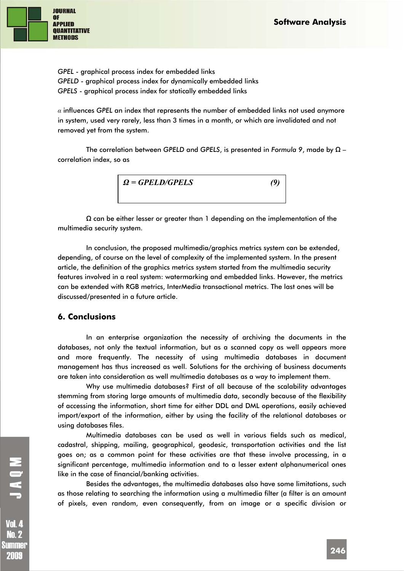

*GPEL* - graphical process index for embedded links *GPELD* - graphical process index for dynamically embedded links *GPELS* - graphical process index for statically embedded links

*α* influences *GPEL* an index that represents the number of embedded links not used anymore in system, used very rarely, less than 3 times in a month, or which are invalidated and not removed yet from the system.

The correlation between *GPELD* and *GPELS*, is presented in *Formula 9*, made by *Ω* – correlation index, so as



*Ω* can be either lesser or greater than 1 depending on the implementation of the multimedia security system.

In conclusion, the proposed multimedia/graphics metrics system can be extended, depending, of course on the level of complexity of the implemented system. In the present article, the definition of the graphics metrics system started from the multimedia security features involved in a real system: watermarking and embedded links. However, the metrics can be extended with RGB metrics, InterMedia transactional metrics. The last ones will be discussed/presented in a future article.

#### **6. Conclusions**

In an enterprise organization the necessity of archiving the documents in the databases, not only the textual information, but as a scanned copy as well appears more and more frequently. The necessity of using multimedia databases in document management has thus increased as well. Solutions for the archiving of business documents are taken into consideration as well multimedia databases as a way to implement them.

Why use multimedia databases? First of all because of the scalability advantages stemming from storing large amounts of multimedia data, secondly because of the flexibility of accessing the information, short time for either DDL and DML operations, easily achieved import/export of the information, either by using the facility of the relational databases or using databases files.

Multimedia databases can be used as well in various fields such as medical, cadastral, shipping, mailing, geographical, geodesic, transportation activities and the list goes on; as a common point for these activities are that these involve processing, in a significant percentage, multimedia information and to a lesser extent alphanumerical ones like in the case of financial/banking activities.

Besides the advantages, the multimedia databases also have some limitations, such as those relating to searching the information using a multimedia filter (a filter is an amount of pixels, even random, even consequently, from an image or a specific division or